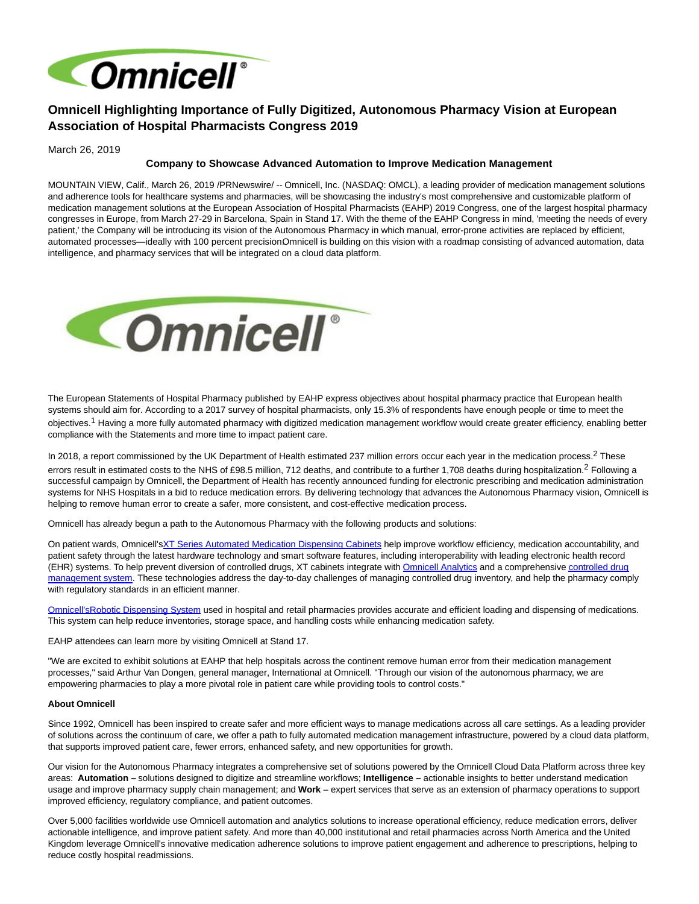

# **Omnicell Highlighting Importance of Fully Digitized, Autonomous Pharmacy Vision at European Association of Hospital Pharmacists Congress 2019**

March 26, 2019

## **Company to Showcase Advanced Automation to Improve Medication Management**

MOUNTAIN VIEW, Calif., March 26, 2019 /PRNewswire/ -- Omnicell, Inc. (NASDAQ: OMCL), a leading provider of medication management solutions and adherence tools for healthcare systems and pharmacies, will be showcasing the industry's most comprehensive and customizable platform of medication management solutions at the European Association of Hospital Pharmacists (EAHP) 2019 Congress, one of the largest hospital pharmacy congresses in Europe, from March 27-29 in Barcelona, Spain in Stand 17. With the theme of the EAHP Congress in mind, 'meeting the needs of every patient,' the Company will be introducing its vision of the Autonomous Pharmacy in which manual, error-prone activities are replaced by efficient, automated processes—ideally with 100 percent precision. Omnicell is building on this vision with a roadmap consisting of advanced automation, data intelligence, and pharmacy services that will be integrated on a cloud data platform.



The European Statements of Hospital Pharmacy published by EAHP express objectives about hospital pharmacy practice that European health systems should aim for. According to a 2017 survey of hospital pharmacists, only 15.3% of respondents have enough people or time to meet the objectives.<sup>1</sup> Having a more fully automated pharmacy with digitized medication management workflow would create greater efficiency, enabling better compliance with the Statements and more time to impact patient care.

In 2018, a report commissioned by the UK Department of Health estimated 237 million errors occur each year in the medication process.<sup>2</sup> These errors result in estimated costs to the NHS of £98.5 million, 712 deaths, and contribute to a further 1,708 deaths during hospitalization.<sup>2</sup> Following a successful campaign by Omnicell, the Department of Health has recently announced funding for electronic prescribing and medication administration systems for NHS Hospitals in a bid to reduce medication errors. By delivering technology that advances the Autonomous Pharmacy vision, Omnicell is helping to remove human error to create a safer, more consistent, and cost-effective medication process.

Omnicell has already begun a path to the Autonomous Pharmacy with the following products and solutions:

On patient wards, Omnicell'[sXT Series Automated Medication Dispensing Cabinets h](https://c212.net/c/link/?t=0&l=en&o=2411907-1&h=23503308&u=https%3A%2F%2Fwww.omnicell.com%2Fus%2Fen_us%2Fproducts%2Fomnicell-xt-automated-dispensing-cabinets&a=XT+Series+Automated+Medication+Dispensing+Cabinets)elp improve workflow efficiency, medication accountability, and patient safety through the latest hardware technology and smart software features, including interoperability with leading electronic health record (EHR) systems. To help prevent diversion of controlled drugs, XT cabinets integrate wit[h Omnicell Analytics a](https://c212.net/c/link/?t=0&l=en&o=2411907-1&h=1194982857&u=https%3A%2F%2Fwww.omnicell.com%2Fus%2Fen_us%2Fproducts%2Fomnicell-analytics&a=Omnicell+Analytics)nd a comprehensiv[e controlled drug](https://c212.net/c/link/?t=0&l=en&o=2411907-1&h=1171370294&u=https%3A%2F%2Fwww.omnicell.com%2Fus%2Fen_us%2Fproducts%2Fxt-controlled-substance-manager&a=controlled+drug+management+system) management system. These technologies address the day-to-day challenges of managing controlled drug inventory, and help the pharmacy comply with regulatory standards in an efficient manner.

[Omnicell's](https://c212.net/c/link/?t=0&l=en&o=2411907-1&h=213536641&u=http%3A%2F%2Fwww.omnicell.com.au%2Frds&a=Omnicell%27s)[Robotic Dispensing System u](https://c212.net/c/link/?t=0&l=en&o=2411907-1&h=3028643768&u=https%3A%2F%2Fwww.omnicell.co.uk%2Frobotics%2F&a=Robotic+Dispensing+System)sed in hospital and retail pharmacies provides accurate and efficient loading and dispensing of medications. This system can help reduce inventories, storage space, and handling costs while enhancing medication safety.

EAHP attendees can learn more by visiting Omnicell at Stand 17.

"We are excited to exhibit solutions at EAHP that help hospitals across the continent remove human error from their medication management processes," said Arthur Van Dongen, general manager, International at Omnicell. "Through our vision of the autonomous pharmacy, we are empowering pharmacies to play a more pivotal role in patient care while providing tools to control costs."

#### **About Omnicell**

Since 1992, Omnicell has been inspired to create safer and more efficient ways to manage medications across all care settings. As a leading provider of solutions across the continuum of care, we offer a path to fully automated medication management infrastructure, powered by a cloud data platform, that supports improved patient care, fewer errors, enhanced safety, and new opportunities for growth.

Our vision for the Autonomous Pharmacy integrates a comprehensive set of solutions powered by the Omnicell Cloud Data Platform across three key areas: **Automation –** solutions designed to digitize and streamline workflows; **Intelligence –** actionable insights to better understand medication usage and improve pharmacy supply chain management; and **Work** – expert services that serve as an extension of pharmacy operations to support improved efficiency, regulatory compliance, and patient outcomes.

Over 5,000 facilities worldwide use Omnicell automation and analytics solutions to increase operational efficiency, reduce medication errors, deliver actionable intelligence, and improve patient safety. And more than 40,000 institutional and retail pharmacies across North America and the United Kingdom leverage Omnicell's innovative medication adherence solutions to improve patient engagement and adherence to prescriptions, helping to reduce costly hospital readmissions.